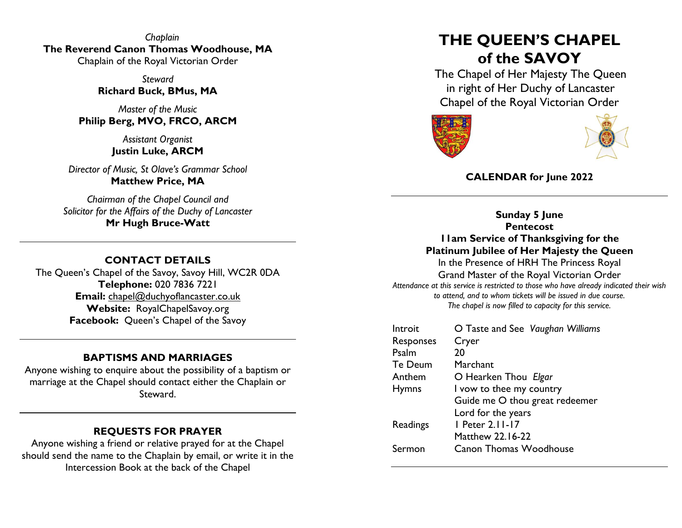*Chaplain* **The Reverend Canon Thomas Woodhouse, MA** Chaplain of the Royal Victorian Order

> *Steward* **Richard Buck, BMus, MA**

*Master of the Music* **Philip Berg, MVO, FRCO, ARCM**

> *Assistant Organist* **Justin Luke, ARCM**

*Director of Music, St Olave's Grammar School* **Matthew Price, MA**

*Chairman of the Chapel Council and Solicitor for the Affairs of the Duchy of Lancaster* **Mr Hugh Bruce-Watt**

## **CONTACT DETAILS**

The Queen's Chapel of the Savoy, Savoy Hill, WC2R 0DA **Telephone:** 020 7836 7221 **Email:** [chapel@duchyoflancaster.co.uk](mailto:chapel@duchyoflancaster.co.uk) **Website:** RoyalChapelSavoy.org **Facebook:** Queen's Chapel of the Savoy

## **BAPTISMS AND MARRIAGES**

Anyone wishing to enquire about the possibility of a baptism or marriage at the Chapel should contact either the Chaplain or Steward.

## **REQUESTS FOR PRAYER**

Anyone wishing a friend or relative prayed for at the Chapel should send the name to the Chaplain by email, or write it in the Intercession Book at the back of the Chapel

# **THE QUEEN'S CHAPEL of the SAVOY**

The Chapel of Her Majesty The Queen in right of Her Duchy of Lancaster Chapel of the Royal Victorian Order





# **CALENDAR for June 2022**

**Sunday 5 June Pentecost 11am Service of Thanksgiving for the Platinum Jubilee of Her Majesty the Queen**

In the Presence of HRH The Princess Royal Grand Master of the Royal Victorian Order *Attendance at this service is restricted to those who have already indicated their wish to attend, and to whom tickets will be issued in due course. The chapel is now filled to capacity for this service.*

| Introit      | O Taste and See Vaughan Williams |
|--------------|----------------------------------|
| Responses    | Cryer                            |
| Psalm        | 20                               |
| Te Deum      | Marchant                         |
| Anthem       | O Hearken Thou Elgar             |
| <b>Hymns</b> | I vow to thee my country         |
|              | Guide me O thou great redeemer   |
|              | Lord for the years               |
| Readings     | I Peter 2.11-17                  |
|              | <b>Matthew 22.16-22</b>          |
| Sermon       | <b>Canon Thomas Woodhouse</b>    |